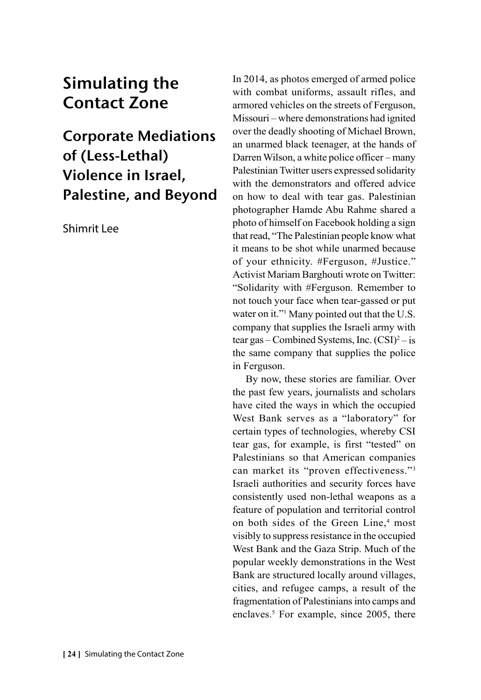# Simulating the Contact Zone

Corporate Mediations of (Less-Lethal) Violence in Israel, Palestine, and Beyond

Shimrit Lee

In 2014, as photos emerged of armed police with combat uniforms, assault rifles, and armored vehicles on the streets of Ferguson, Missouri – where demonstrations had ignited over the deadly shooting of Michael Brown, an unarmed black teenager, at the hands of Darren Wilson, a white police officer – many Palestinian Twitter users expressed solidarity with the demonstrators and offered advice on how to deal with tear gas. Palestinian photographer Hamde Abu Rahme shared a photo of himself on Facebook holding a sign that read, "The Palestinian people know what it means to be shot while unarmed because of your ethnicity. #Ferguson, #Justice." Activist Mariam Barghouti wrote on Twitter: "Solidarity with #Ferguson. Remember to not touch your face when tear-gassed or put water on it."<sup>1</sup> Many pointed out that the U.S. company that supplies the Israeli army with tear gas – Combined Systems, Inc.  $(CSI)^2$  – is the same company that supplies the police in Ferguson.

By now, these stories are familiar. Over the past few years, journalists and scholars have cited the ways in which the occupied West Bank serves as a "laboratory" for certain types of technologies, whereby CSI tear gas, for example, is first "tested" on Palestinians so that American companies can market its "proven effectiveness."3 Israeli authorities and security forces have consistently used non-lethal weapons as a feature of population and territorial control on both sides of the Green Line,<sup>4</sup> most visibly to suppress resistance in the occupied West Bank and the Gaza Strip. Much of the popular weekly demonstrations in the West Bank are structured locally around villages, cities, and refugee camps, a result of the fragmentation of Palestinians into camps and enclaves.<sup>5</sup> For example, since 2005, there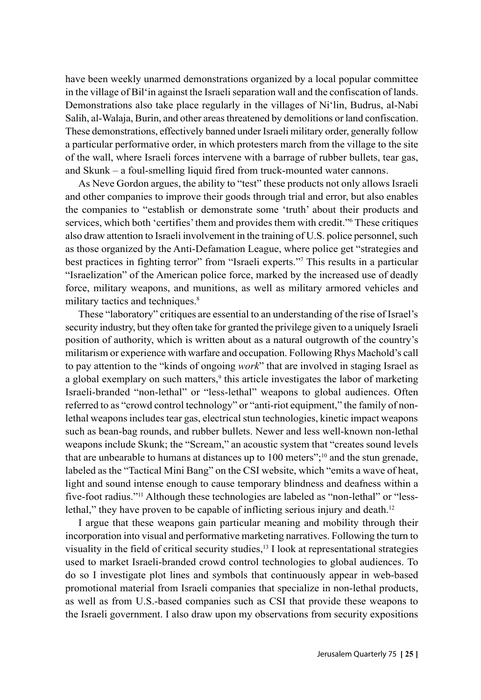have been weekly unarmed demonstrations organized by a local popular committee in the village of Bil'in against the Israeli separation wall and the confiscation of lands. Demonstrations also take place regularly in the villages of Ni'lin, Budrus, al-Nabi Salih, al-Walaja, Burin, and other areas threatened by demolitions or land confiscation. These demonstrations, effectively banned under Israeli military order, generally follow a particular performative order, in which protesters march from the village to the site of the wall, where Israeli forces intervene with a barrage of rubber bullets, tear gas, and Skunk – a foul-smelling liquid fired from truck-mounted water cannons.

As Neve Gordon argues, the ability to "test" these products not only allows Israeli and other companies to improve their goods through trial and error, but also enables the companies to "establish or demonstrate some 'truth' about their products and services, which both 'certifies' them and provides them with credit." These critiques also draw attention to Israeli involvement in the training of U.S. police personnel, such as those organized by the Anti-Defamation League, where police get "strategies and best practices in fighting terror" from "Israeli experts."<sup>7</sup> This results in a particular "Israelization" of the American police force, marked by the increased use of deadly force, military weapons, and munitions, as well as military armored vehicles and military tactics and techniques.<sup>8</sup>

These "laboratory" critiques are essential to an understanding of the rise of Israel's security industry, but they often take for granted the privilege given to a uniquely Israeli position of authority, which is written about as a natural outgrowth of the country's militarism or experience with warfare and occupation. Following Rhys Machold's call to pay attention to the "kinds of ongoing *work*" that are involved in staging Israel as a global exemplary on such matters,<sup>9</sup> this article investigates the labor of marketing Israeli-branded "non-lethal" or "less-lethal" weapons to global audiences. Often referred to as "crowd control technology" or "anti-riot equipment," the family of nonlethal weapons includes tear gas, electrical stun technologies, kinetic impact weapons such as bean-bag rounds, and rubber bullets. Newer and less well-known non-lethal weapons include Skunk; the "Scream," an acoustic system that "creates sound levels that are unbearable to humans at distances up to 100 meters";<sup>10</sup> and the stun grenade, labeled as the "Tactical Mini Bang" on the CSI website, which "emits a wave of heat, light and sound intense enough to cause temporary blindness and deafness within a five-foot radius."11 Although these technologies are labeled as "non-lethal" or "lesslethal," they have proven to be capable of inflicting serious injury and death.<sup>12</sup>

I argue that these weapons gain particular meaning and mobility through their incorporation into visual and performative marketing narratives. Following the turn to visuality in the field of critical security studies, $<sup>13</sup>$  I look at representational strategies</sup> used to market Israeli-branded crowd control technologies to global audiences. To do so I investigate plot lines and symbols that continuously appear in web-based promotional material from Israeli companies that specialize in non-lethal products, as well as from U.S.-based companies such as CSI that provide these weapons to the Israeli government. I also draw upon my observations from security expositions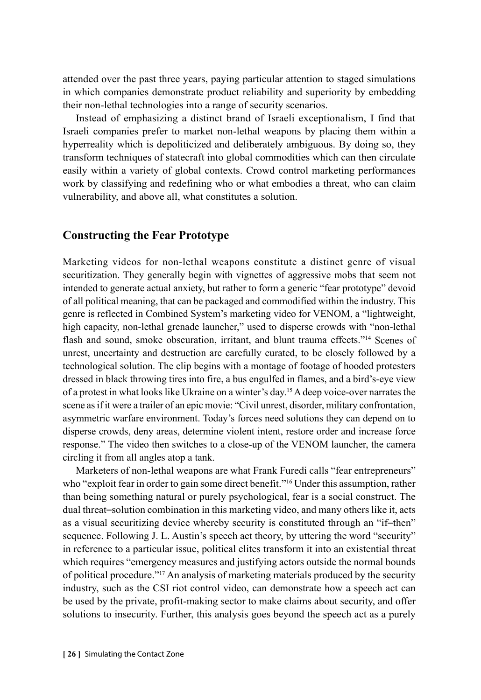attended over the past three years, paying particular attention to staged simulations in which companies demonstrate product reliability and superiority by embedding their non-lethal technologies into a range of security scenarios.

Instead of emphasizing a distinct brand of Israeli exceptionalism, I find that Israeli companies prefer to market non-lethal weapons by placing them within a hyperreality which is depoliticized and deliberately ambiguous. By doing so, they transform techniques of statecraft into global commodities which can then circulate easily within a variety of global contexts. Crowd control marketing performances work by classifying and redefining who or what embodies a threat, who can claim vulnerability, and above all, what constitutes a solution.

#### **Constructing the Fear Prototype**

Marketing videos for non-lethal weapons constitute a distinct genre of visual securitization. They generally begin with vignettes of aggressive mobs that seem not intended to generate actual anxiety, but rather to form a generic "fear prototype" devoid of all political meaning, that can be packaged and commodified within the industry. This genre is reflected in Combined System's marketing video for VENOM, a "lightweight, high capacity, non-lethal grenade launcher," used to disperse crowds with "non-lethal flash and sound, smoke obscuration, irritant, and blunt trauma effects."14 Scenes of unrest, uncertainty and destruction are carefully curated, to be closely followed by a technological solution. The clip begins with a montage of footage of hooded protesters dressed in black throwing tires into fire, a bus engulfed in flames, and a bird's-eye view of a protest in what looks like Ukraine on a winter's day.15 A deep voice-over narrates the scene as if it were a trailer of an epic movie: "Civil unrest, disorder, military confrontation, asymmetric warfare environment. Today's forces need solutions they can depend on to disperse crowds, deny areas, determine violent intent, restore order and increase force response." The video then switches to a close-up of the VENOM launcher, the camera circling it from all angles atop a tank.

Marketers of non-lethal weapons are what Frank Furedi calls "fear entrepreneurs" who "exploit fear in order to gain some direct benefit."<sup>16</sup> Under this assumption, rather than being something natural or purely psychological, fear is a social construct. The dual threat–solution combination in this marketing video, and many others like it, acts as a visual securitizing device whereby security is constituted through an "if–then" sequence. Following J. L. Austin's speech act theory, by uttering the word "security" in reference to a particular issue, political elites transform it into an existential threat which requires "emergency measures and justifying actors outside the normal bounds of political procedure."17 An analysis of marketing materials produced by the security industry, such as the CSI riot control video, can demonstrate how a speech act can be used by the private, profit-making sector to make claims about security, and offer solutions to insecurity. Further, this analysis goes beyond the speech act as a purely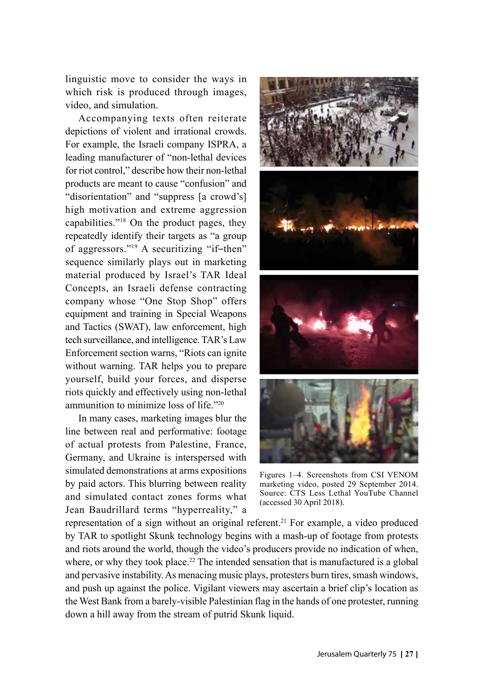linguistic move to consider the ways in which risk is produced through images, video, and simulation.

Accompanying texts often reiterate depictions of violent and irrational crowds. For example, the Israeli company ISPRA, a leading manufacturer of "non-lethal devices for riot control," describe how their non-lethal products are meant to cause "confusion" and "disorientation" and "suppress [a crowd's] high motivation and extreme aggression capabilities."18 On the product pages, they repeatedly identify their targets as "a group of aggressors."19 A securitizing "if–then" sequence similarly plays out in marketing material produced by Israel's TAR Ideal Concepts, an Israeli defense contracting company whose "One Stop Shop" offers equipment and training in Special Weapons and Tactics (SWAT), law enforcement, high tech surveillance, and intelligence. TAR's Law Enforcement section warns, "Riots can ignite without warning. TAR helps you to prepare yourself, build your forces, and disperse riots quickly and effectively using non-lethal ammunition to minimize loss of life."20

In many cases, marketing images blur the line between real and performative: footage of actual protests from Palestine, France, Germany, and Ukraine is interspersed with simulated demonstrations at arms expositions by paid actors. This blurring between reality and simulated contact zones forms what Jean Baudrillard terms "hyperreality," a



Figures 1–4. Screenshots from CSI VENOM marketing video, posted 29 September 2014. Source: CTS Less Lethal YouTube Channel (accessed 30 April 2018).

representation of a sign without an original referent.21 For example, a video produced by TAR to spotlight Skunk technology begins with a mash-up of footage from protests and riots around the world, though the video's producers provide no indication of when, where, or why they took place.<sup>22</sup> The intended sensation that is manufactured is a global and pervasive instability. As menacing music plays, protesters burn tires, smash windows, and push up against the police. Vigilant viewers may ascertain a brief clip's location as the West Bank from a barely-visible Palestinian flag in the hands of one protester, running down a hill away from the stream of putrid Skunk liquid.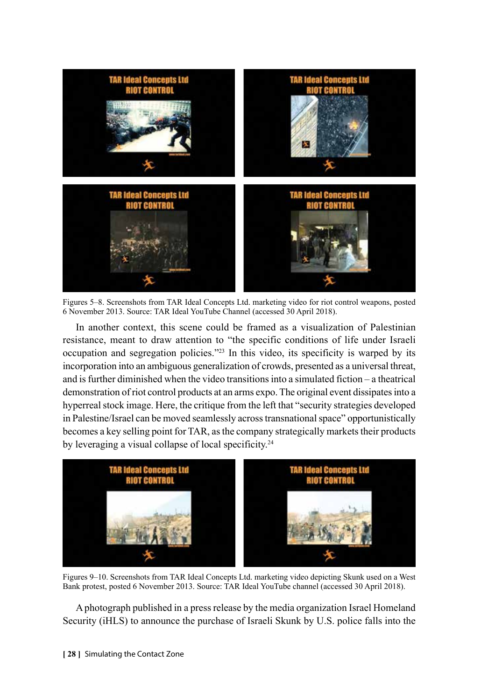

Figures 5–8. Screenshots from TAR Ideal Concepts Ltd. marketing video for riot control weapons, posted 6 November 2013. Source: TAR Ideal YouTube Channel (accessed 30 April 2018).

In another context, this scene could be framed as a visualization of Palestinian resistance, meant to draw attention to "the specific conditions of life under Israeli occupation and segregation policies."23 In this video, its specificity is warped by its incorporation into an ambiguous generalization of crowds, presented as a universal threat, and is further diminished when the video transitions into a simulated fiction – a theatrical demonstration of riot control products at an arms expo. The original event dissipates into a hyperreal stock image. Here, the critique from the left that "security strategies developed in Palestine/Israel can be moved seamlessly across transnational space" opportunistically becomes a key selling point for TAR, as the company strategically markets their products by leveraging a visual collapse of local specificity.<sup>24</sup>



Figures 9–10. Screenshots from TAR Ideal Concepts Ltd. marketing video depicting Skunk used on a West Bank protest, posted 6 November 2013. Source: TAR Ideal YouTube channel (accessed 30 April 2018).

A photograph published in a press release by the media organization Israel Homeland Security (iHLS) to announce the purchase of Israeli Skunk by U.S. police falls into the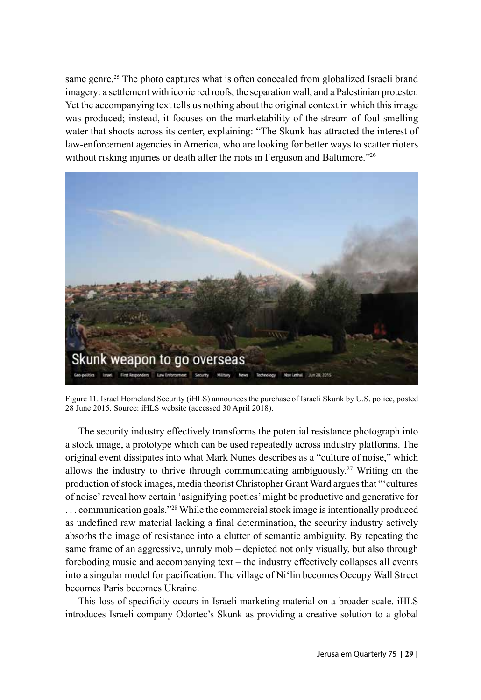same genre.<sup>25</sup> The photo captures what is often concealed from globalized Israeli brand imagery: a settlement with iconic red roofs, the separation wall, and a Palestinian protester. Yet the accompanying text tells us nothing about the original context in which this image was produced; instead, it focuses on the marketability of the stream of foul-smelling water that shoots across its center, explaining: "The Skunk has attracted the interest of law-enforcement agencies in America, who are looking for better ways to scatter rioters without risking injuries or death after the riots in Ferguson and Baltimore.<sup>726</sup>



Figure 11. Israel Homeland Security (iHLS) announces the purchase of Israeli Skunk by U.S. police, posted 28 June 2015. Source: iHLS website (accessed 30 April 2018).

The security industry effectively transforms the potential resistance photograph into a stock image, a prototype which can be used repeatedly across industry platforms. The original event dissipates into what Mark Nunes describes as a "culture of noise," which allows the industry to thrive through communicating ambiguously.27 Writing on the production of stock images, media theorist Christopher Grant Ward argues that "'cultures of noise' reveal how certain 'asignifying poetics' might be productive and generative for . . . communication goals."28 While the commercial stock image is intentionally produced as undefined raw material lacking a final determination, the security industry actively absorbs the image of resistance into a clutter of semantic ambiguity. By repeating the same frame of an aggressive, unruly mob – depicted not only visually, but also through foreboding music and accompanying text – the industry effectively collapses all events into a singular model for pacification. The village of Ni'lin becomes Occupy Wall Street becomes Paris becomes Ukraine.

This loss of specificity occurs in Israeli marketing material on a broader scale. iHLS introduces Israeli company Odortec's Skunk as providing a creative solution to a global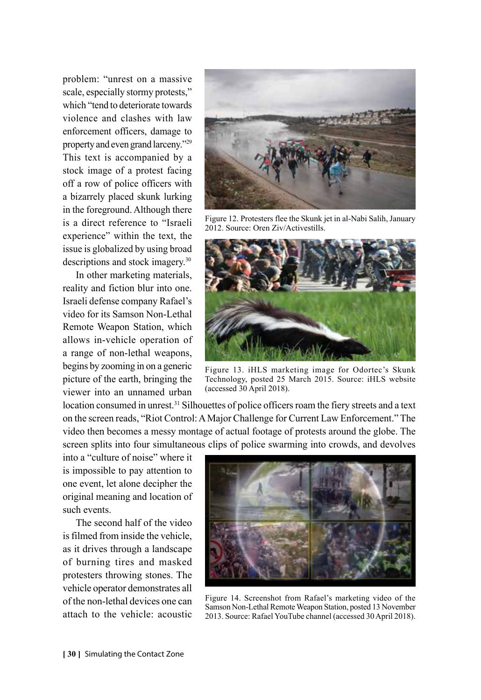problem: "unrest on a massive scale, especially stormy protests," which "tend to deteriorate towards violence and clashes with law enforcement officers, damage to property and even grand larceny."29 This text is accompanied by a stock image of a protest facing off a row of police officers with a bizarrely placed skunk lurking in the foreground. Although there is a direct reference to "Israeli experience" within the text, the issue is globalized by using broad descriptions and stock imagery.30

In other marketing materials, reality and fiction blur into one. Israeli defense company Rafael's video for its Samson Non-Lethal Remote Weapon Station, which allows in-vehicle operation of a range of non-lethal weapons, begins by zooming in on a generic picture of the earth, bringing the viewer into an unnamed urban

Figure 12. Protesters flee the Skunk jet in al-Nabi Salih, January 2012. Source: Oren Ziv/Activestills.



Figure 13. iHLS marketing image for Odortec's Skunk Technology, posted 25 March 2015. Source: iHLS website (accessed 30 April 2018).

location consumed in unrest.31 Silhouettes of police officers roam the fiery streets and a text on the screen reads, "Riot Control: A Major Challenge for Current Law Enforcement." The video then becomes a messy montage of actual footage of protests around the globe. The screen splits into four simultaneous clips of police swarming into crowds, and devolves

into a "culture of noise" where it is impossible to pay attention to one event, let alone decipher the original meaning and location of such events.

The second half of the video is filmed from inside the vehicle, as it drives through a landscape of burning tires and masked protesters throwing stones. The vehicle operator demonstrates all of the non-lethal devices one can attach to the vehicle: acoustic



Figure 14. Screenshot from Rafael's marketing video of the Samson Non-Lethal Remote Weapon Station, posted 13 November 2013. Source: Rafael YouTube channel (accessed 30 April 2018).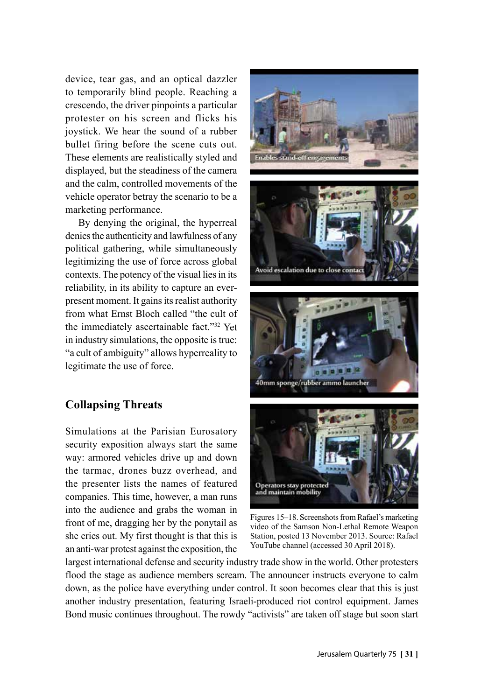device, tear gas, and an optical dazzler to temporarily blind people. Reaching a crescendo, the driver pinpoints a particular protester on his screen and flicks his joystick. We hear the sound of a rubber bullet firing before the scene cuts out. These elements are realistically styled and displayed, but the steadiness of the camera and the calm, controlled movements of the vehicle operator betray the scenario to be a marketing performance.

By denying the original, the hyperreal denies the authenticity and lawfulness of any political gathering, while simultaneously legitimizing the use of force across global contexts. The potency of the visual lies in its reliability, in its ability to capture an everpresent moment. It gains its realist authority from what Ernst Bloch called "the cult of the immediately ascertainable fact."32 Yet in industry simulations, the opposite is true: "a cult of ambiguity" allows hyperreality to legitimate the use of force.

# **Collapsing Threats**

Simulations at the Parisian Eurosatory security exposition always start the same way: armored vehicles drive up and down the tarmac, drones buzz overhead, and the presenter lists the names of featured companies. This time, however, a man runs into the audience and grabs the woman in front of me, dragging her by the ponytail as she cries out. My first thought is that this is an anti-war protest against the exposition, the









Figures 15–18. Screenshots from Rafael's marketing video of the Samson Non-Lethal Remote Weapon Station, posted 13 November 2013. Source: Rafael YouTube channel (accessed 30 April 2018).

largest international defense and security industry trade show in the world. Other protesters flood the stage as audience members scream. The announcer instructs everyone to calm down, as the police have everything under control. It soon becomes clear that this is just another industry presentation, featuring Israeli-produced riot control equipment. James Bond music continues throughout. The rowdy "activists" are taken off stage but soon start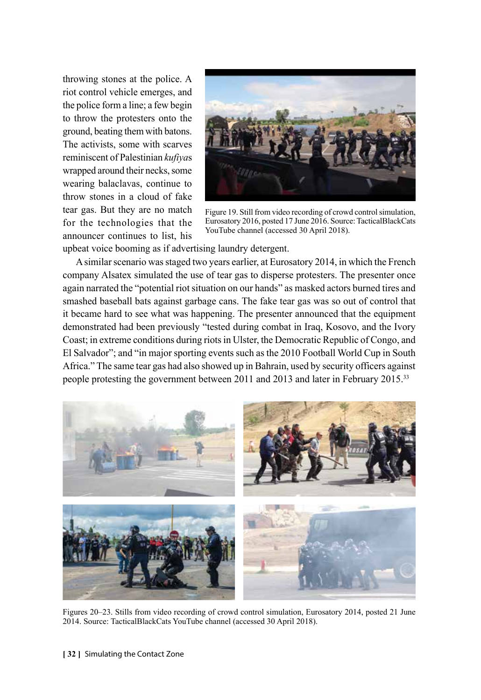throwing stones at the police. A riot control vehicle emerges, and the police form a line; a few begin to throw the protesters onto the ground, beating them with batons. The activists, some with scarves reminiscent of Palestinian *kufiya*s wrapped around their necks, some wearing balaclavas, continue to throw stones in a cloud of fake tear gas. But they are no match for the technologies that the announcer continues to list, his



Figure 19. Still from video recording of crowd control simulation, Eurosatory 2016, posted 17 June 2016. Source: TacticalBlackCats YouTube channel (accessed 30 April 2018).

upbeat voice booming as if advertising laundry detergent.

A similar scenario was staged two years earlier, at Eurosatory 2014, in which the French company Alsatex simulated the use of tear gas to disperse protesters. The presenter once again narrated the "potential riot situation on our hands" as masked actors burned tires and smashed baseball bats against garbage cans. The fake tear gas was so out of control that it became hard to see what was happening. The presenter announced that the equipment demonstrated had been previously "tested during combat in Iraq, Kosovo, and the Ivory Coast; in extreme conditions during riots in Ulster, the Democratic Republic of Congo, and El Salvador"; and "in major sporting events such as the 2010 Football World Cup in South Africa." The same tear gas had also showed up in Bahrain, used by security officers against people protesting the government between 2011 and 2013 and later in February 2015.33



Figures 20–23. Stills from video recording of crowd control simulation, Eurosatory 2014, posted 21 June 2014. Source: TacticalBlackCats YouTube channel (accessed 30 April 2018).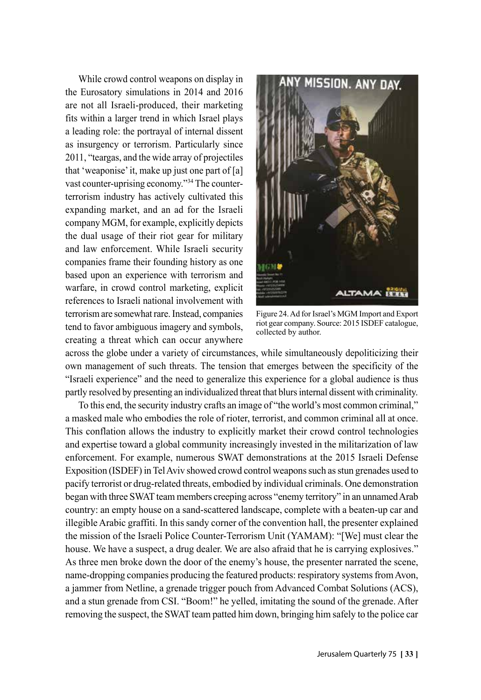While crowd control weapons on display in the Eurosatory simulations in 2014 and 2016 are not all Israeli-produced, their marketing fits within a larger trend in which Israel plays a leading role: the portrayal of internal dissent as insurgency or terrorism. Particularly since 2011, "teargas, and the wide array of projectiles that 'weaponise' it, make up just one part of [a] vast counter-uprising economy."34 The counterterrorism industry has actively cultivated this expanding market, and an ad for the Israeli company MGM, for example, explicitly depicts the dual usage of their riot gear for military and law enforcement. While Israeli security companies frame their founding history as one based upon an experience with terrorism and warfare, in crowd control marketing, explicit references to Israeli national involvement with terrorism are somewhat rare. Instead, companies tend to favor ambiguous imagery and symbols, creating a threat which can occur anywhere



Figure 24. Ad for Israel's MGM Import and Export riot gear company. Source: 2015 ISDEF catalogue, collected by author.

across the globe under a variety of circumstances, while simultaneously depoliticizing their own management of such threats. The tension that emerges between the specificity of the "Israeli experience" and the need to generalize this experience for a global audience is thus partly resolved by presenting an individualized threat that blurs internal dissent with criminality.

To this end, the security industry crafts an image of "the world's most common criminal," a masked male who embodies the role of rioter, terrorist, and common criminal all at once. This conflation allows the industry to explicitly market their crowd control technologies and expertise toward a global community increasingly invested in the militarization of law enforcement. For example, numerous SWAT demonstrations at the 2015 Israeli Defense Exposition (ISDEF) in Tel Aviv showed crowd control weapons such as stun grenades used to pacify terrorist or drug-related threats, embodied by individual criminals. One demonstration began with three SWAT team members creeping across "enemy territory" in an unnamed Arab country: an empty house on a sand-scattered landscape, complete with a beaten-up car and illegible Arabic graffiti. In this sandy corner of the convention hall, the presenter explained the mission of the Israeli Police Counter-Terrorism Unit (YAMAM): "[We] must clear the house. We have a suspect, a drug dealer. We are also afraid that he is carrying explosives." As three men broke down the door of the enemy's house, the presenter narrated the scene, name-dropping companies producing the featured products: respiratory systems from Avon, a jammer from Netline, a grenade trigger pouch from Advanced Combat Solutions (ACS), and a stun grenade from CSI. "Boom!" he yelled, imitating the sound of the grenade. After removing the suspect, the SWAT team patted him down, bringing him safely to the police car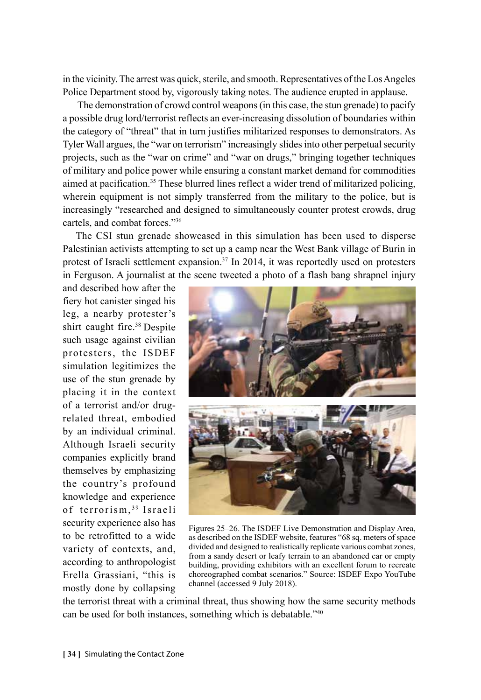in the vicinity. The arrest was quick, sterile, and smooth. Representatives of the Los Angeles Police Department stood by, vigorously taking notes. The audience erupted in applause.

 The demonstration of crowd control weapons (in this case, the stun grenade) to pacify a possible drug lord/terrorist reflects an ever-increasing dissolution of boundaries within the category of "threat" that in turn justifies militarized responses to demonstrators. As Tyler Wall argues, the "war on terrorism" increasingly slides into other perpetual security projects, such as the "war on crime" and "war on drugs," bringing together techniques of military and police power while ensuring a constant market demand for commodities aimed at pacification.35 These blurred lines reflect a wider trend of militarized policing, wherein equipment is not simply transferred from the military to the police, but is increasingly "researched and designed to simultaneously counter protest crowds, drug cartels, and combat forces."36

The CSI stun grenade showcased in this simulation has been used to disperse Palestinian activists attempting to set up a camp near the West Bank village of Burin in protest of Israeli settlement expansion.<sup>37</sup> In 2014, it was reportedly used on protesters in Ferguson. A journalist at the scene tweeted a photo of a flash bang shrapnel injury

and described how after the fiery hot canister singed his leg, a nearby protester's shirt caught fire.38 Despite such usage against civilian protesters, the ISDEF simulation legitimizes the use of the stun grenade by placing it in the context of a terrorist and/or drugrelated threat, embodied by an individual criminal. Although Israeli security companies explicitly brand themselves by emphasizing the country's profound knowledge and experience of terrorism, 39 Israeli security experience also has to be retrofitted to a wide variety of contexts, and, according to anthropologist Erella Grassiani, "this is mostly done by collapsing



Figures 25–26. The ISDEF Live Demonstration and Display Area, as described on the ISDEF website, features "68 sq. meters of space divided and designed to realistically replicate various combat zones, from a sandy desert or leafy terrain to an abandoned car or empty building, providing exhibitors with an excellent forum to recreate choreographed combat scenarios." Source: ISDEF Expo YouTube channel (accessed 9 July 2018).

the terrorist threat with a criminal threat, thus showing how the same security methods can be used for both instances, something which is debatable."40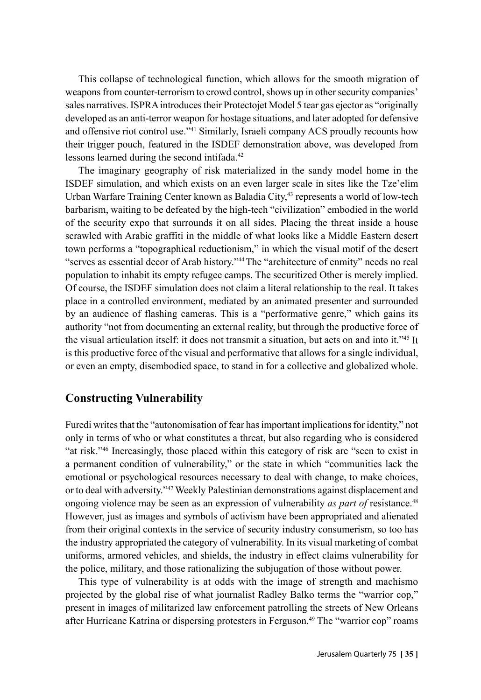This collapse of technological function, which allows for the smooth migration of weapons from counter-terrorism to crowd control, shows up in other security companies' sales narratives. ISPRA introduces their Protectojet Model 5 tear gas ejector as "originally developed as an anti-terror weapon for hostage situations, and later adopted for defensive and offensive riot control use."41 Similarly, Israeli company ACS proudly recounts how their trigger pouch, featured in the ISDEF demonstration above, was developed from lessons learned during the second intifada.<sup>42</sup>

The imaginary geography of risk materialized in the sandy model home in the ISDEF simulation, and which exists on an even larger scale in sites like the Tze'elim Urban Warfare Training Center known as Baladia City,<sup>43</sup> represents a world of low-tech barbarism, waiting to be defeated by the high-tech "civilization" embodied in the world of the security expo that surrounds it on all sides. Placing the threat inside a house scrawled with Arabic graffiti in the middle of what looks like a Middle Eastern desert town performs a "topographical reductionism," in which the visual motif of the desert "serves as essential decor of Arab history."44 The "architecture of enmity" needs no real population to inhabit its empty refugee camps. The securitized Other is merely implied. Of course, the ISDEF simulation does not claim a literal relationship to the real. It takes place in a controlled environment, mediated by an animated presenter and surrounded by an audience of flashing cameras. This is a "performative genre," which gains its authority "not from documenting an external reality, but through the productive force of the visual articulation itself: it does not transmit a situation, but acts on and into it."45 It is this productive force of the visual and performative that allows for a single individual, or even an empty, disembodied space, to stand in for a collective and globalized whole.

### **Constructing Vulnerability**

Furedi writes that the "autonomisation of fear has important implications for identity," not only in terms of who or what constitutes a threat, but also regarding who is considered "at risk."46 Increasingly, those placed within this category of risk are "seen to exist in a permanent condition of vulnerability," or the state in which "communities lack the emotional or psychological resources necessary to deal with change, to make choices, or to deal with adversity."47 Weekly Palestinian demonstrations against displacement and ongoing violence may be seen as an expression of vulnerability *as part of* resistance.48 However, just as images and symbols of activism have been appropriated and alienated from their original contexts in the service of security industry consumerism, so too has the industry appropriated the category of vulnerability. In its visual marketing of combat uniforms, armored vehicles, and shields, the industry in effect claims vulnerability for the police, military, and those rationalizing the subjugation of those without power.

This type of vulnerability is at odds with the image of strength and machismo projected by the global rise of what journalist Radley Balko terms the "warrior cop," present in images of militarized law enforcement patrolling the streets of New Orleans after Hurricane Katrina or dispersing protesters in Ferguson.49 The "warrior cop" roams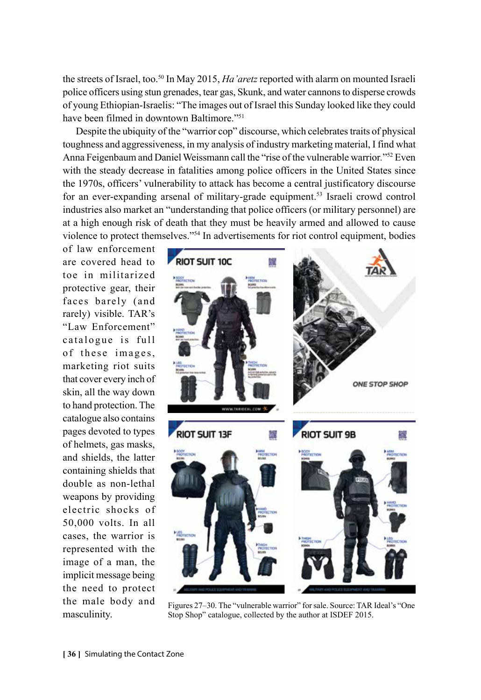the streets of Israel, too.50 In May 2015, *Ha'aretz* reported with alarm on mounted Israeli police officers using stun grenades, tear gas, Skunk, and water cannons to disperse crowds of young Ethiopian-Israelis: "The images out of Israel this Sunday looked like they could have been filmed in downtown Baltimore."51

Despite the ubiquity of the "warrior cop" discourse, which celebrates traits of physical toughness and aggressiveness, in my analysis of industry marketing material, I find what Anna Feigenbaum and Daniel Weissmann call the "rise of the vulnerable warrior*.*"52 Even with the steady decrease in fatalities among police officers in the United States since the 1970s, officers' vulnerability to attack has become a central justificatory discourse for an ever-expanding arsenal of military-grade equipment.53 Israeli crowd control industries also market an "understanding that police officers (or military personnel) are at a high enough risk of death that they must be heavily armed and allowed to cause violence to protect themselves."54 In advertisements for riot control equipment, bodies

of law enforcement are covered head to toe in militarized protective gear, their faces barely (and rarely) visible. TAR's "Law Enforcement" catalogue is full of these images, marketing riot suits that cover every inch of skin, all the way down to hand protection. The catalogue also contains pages devoted to types of helmets, gas masks, and shields, the latter containing shields that double as non-lethal weapons by providing electric shocks of 50,000 volts. In all cases, the warrior is represented with the image of a man, the implicit message being the need to protect the male body and masculinity.



Figures 27–30. The "vulnerable warrior" for sale. Source: TAR Ideal's "One Stop Shop" catalogue, collected by the author at ISDEF 2015.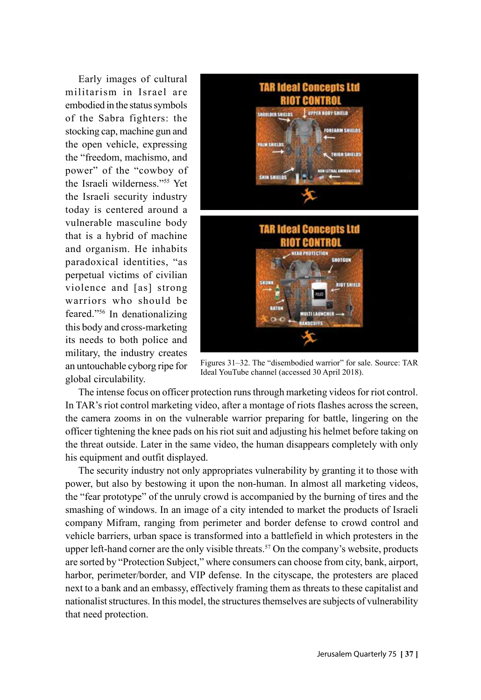Early images of cultural militarism in Israel are embodied in the status symbols of the Sabra fighters: the stocking cap, machine gun and the open vehicle, expressing the "freedom, machismo, and power" of the "cowboy of the Israeli wilderness."55 Yet the Israeli security industry today is centered around a vulnerable masculine body that is a hybrid of machine and organism. He inhabits paradoxical identities, "as perpetual victims of civilian violence and [as] strong warriors who should be feared."56 In denationalizing this body and cross-marketing its needs to both police and military, the industry creates an untouchable cyborg ripe for global circulability.



Figures 31–32. The "disembodied warrior" for sale. Source: TAR Ideal YouTube channel (accessed 30 April 2018).

The intense focus on officer protection runs through marketing videos for riot control. In TAR's riot control marketing video, after a montage of riots flashes across the screen, the camera zooms in on the vulnerable warrior preparing for battle, lingering on the officer tightening the knee pads on his riot suit and adjusting his helmet before taking on the threat outside. Later in the same video, the human disappears completely with only his equipment and outfit displayed.

The security industry not only appropriates vulnerability by granting it to those with power, but also by bestowing it upon the non-human. In almost all marketing videos, the "fear prototype" of the unruly crowd is accompanied by the burning of tires and the smashing of windows. In an image of a city intended to market the products of Israeli company Mifram, ranging from perimeter and border defense to crowd control and vehicle barriers, urban space is transformed into a battlefield in which protesters in the upper left-hand corner are the only visible threats.<sup>57</sup> On the company's website, products are sorted by "Protection Subject," where consumers can choose from city, bank, airport, harbor, perimeter/border, and VIP defense. In the cityscape, the protesters are placed next to a bank and an embassy, effectively framing them as threats to these capitalist and nationalist structures. In this model, the structures themselves are subjects of vulnerability that need protection.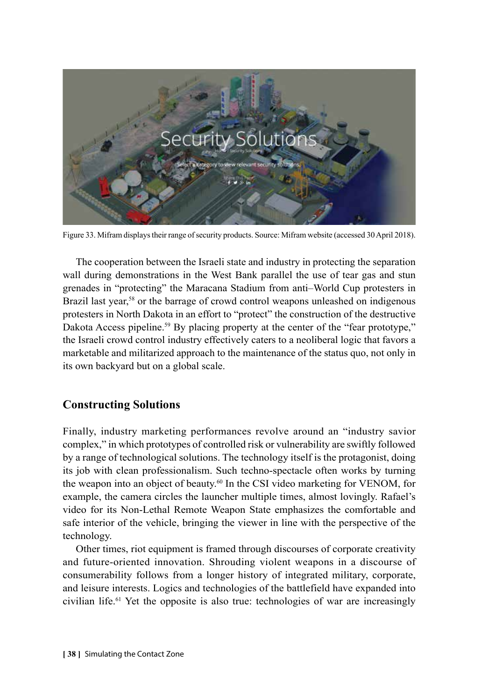

Figure 33. Mifram displays their range of security products. Source: Mifram website (accessed 30 April 2018).

The cooperation between the Israeli state and industry in protecting the separation wall during demonstrations in the West Bank parallel the use of tear gas and stun grenades in "protecting" the Maracana Stadium from anti–World Cup protesters in Brazil last year,<sup>58</sup> or the barrage of crowd control weapons unleashed on indigenous protesters in North Dakota in an effort to "protect" the construction of the destructive Dakota Access pipeline.<sup>59</sup> By placing property at the center of the "fear prototype," the Israeli crowd control industry effectively caters to a neoliberal logic that favors a marketable and militarized approach to the maintenance of the status quo, not only in its own backyard but on a global scale.

### **Constructing Solutions**

Finally, industry marketing performances revolve around an "industry savior complex," in which prototypes of controlled risk or vulnerability are swiftly followed by a range of technological solutions. The technology itself is the protagonist, doing its job with clean professionalism. Such techno-spectacle often works by turning the weapon into an object of beauty.<sup>60</sup> In the CSI video marketing for VENOM, for example, the camera circles the launcher multiple times, almost lovingly. Rafael's video for its Non-Lethal Remote Weapon State emphasizes the comfortable and safe interior of the vehicle, bringing the viewer in line with the perspective of the technology.

Other times, riot equipment is framed through discourses of corporate creativity and future-oriented innovation. Shrouding violent weapons in a discourse of consumerability follows from a longer history of integrated military, corporate, and leisure interests. Logics and technologies of the battlefield have expanded into civilian life.61 Yet the opposite is also true: technologies of war are increasingly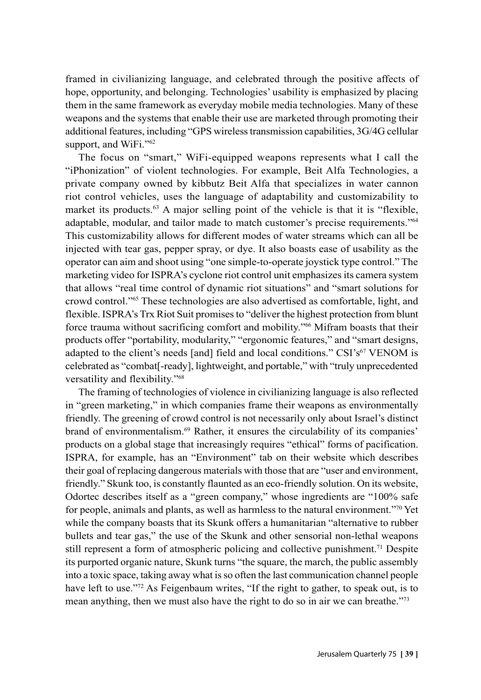framed in civilianizing language, and celebrated through the positive affects of hope, opportunity, and belonging. Technologies' usability is emphasized by placing them in the same framework as everyday mobile media technologies. Many of these weapons and the systems that enable their use are marketed through promoting their additional features, including "GPS wireless transmission capabilities, 3G/4G cellular support, and WiFi."<sup>62</sup>

The focus on "smart," WiFi-equipped weapons represents what I call the "iPhonization" of violent technologies. For example, Beit Alfa Technologies, a private company owned by kibbutz Beit Alfa that specializes in water cannon riot control vehicles, uses the language of adaptability and customizability to market its products.<sup>63</sup> A major selling point of the vehicle is that it is "flexible, adaptable, modular, and tailor made to match customer's precise requirements."64 This customizability allows for different modes of water streams which can all be injected with tear gas, pepper spray, or dye. It also boasts ease of usability as the operator can aim and shoot using "one simple-to-operate joystick type control." The marketing video for ISPRA's cyclone riot control unit emphasizes its camera system that allows "real time control of dynamic riot situations" and "smart solutions for crowd control."65 These technologies are also advertised as comfortable, light, and flexible. ISPRA's Trx Riot Suit promises to "deliver the highest protection from blunt force trauma without sacrificing comfort and mobility."66 Mifram boasts that their products offer "portability, modularity," "ergonomic features," and "smart designs, adapted to the client's needs [and] field and local conditions."  $CSI's<sup>67</sup>$  VENOM is celebrated as "combat[-ready], lightweight, and portable," with "truly unprecedented versatility and flexibility."68

The framing of technologies of violence in civilianizing language is also reflected in "green marketing," in which companies frame their weapons as environmentally friendly. The greening of crowd control is not necessarily only about Israel's distinct brand of environmentalism.69 Rather, it ensures the circulability of its companies' products on a global stage that increasingly requires "ethical" forms of pacification. ISPRA, for example, has an "Environment" tab on their website which describes their goal of replacing dangerous materials with those that are "user and environment, friendly." Skunk too, is constantly flaunted as an eco-friendly solution. On its website, Odortec describes itself as a "green company," whose ingredients are "100% safe for people, animals and plants, as well as harmless to the natural environment."70 Yet while the company boasts that its Skunk offers a humanitarian "alternative to rubber bullets and tear gas," the use of the Skunk and other sensorial non-lethal weapons still represent a form of atmospheric policing and collective punishment.71 Despite its purported organic nature, Skunk turns "the square, the march, the public assembly into a toxic space, taking away what is so often the last communication channel people have left to use."<sup>72</sup> As Feigenbaum writes, "If the right to gather, to speak out, is to mean anything, then we must also have the right to do so in air we can breathe."73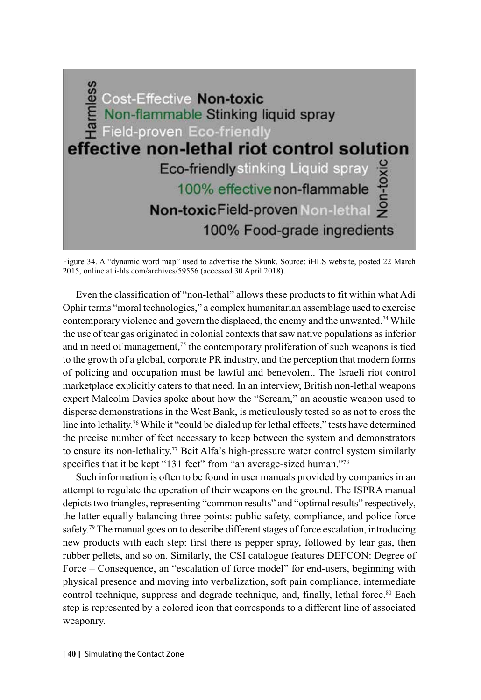

Figure 34. A "dynamic word map" used to advertise the Skunk. Source: iHLS website, posted 22 March 2015, online at i-hls.com/archives/59556 (accessed 30 April 2018).

Even the classification of "non-lethal" allows these products to fit within what Adi Ophir terms "moral technologies," a complex humanitarian assemblage used to exercise contemporary violence and govern the displaced, the enemy and the unwanted.<sup>74</sup> While the use of tear gas originated in colonial contexts that saw native populations as inferior and in need of management, $7<sup>5</sup>$  the contemporary proliferation of such weapons is tied to the growth of a global, corporate PR industry, and the perception that modern forms of policing and occupation must be lawful and benevolent. The Israeli riot control marketplace explicitly caters to that need. In an interview, British non-lethal weapons expert Malcolm Davies spoke about how the "Scream," an acoustic weapon used to disperse demonstrations in the West Bank, is meticulously tested so as not to cross the line into lethality.<sup>76</sup> While it "could be dialed up for lethal effects," tests have determined the precise number of feet necessary to keep between the system and demonstrators to ensure its non-lethality.<sup>77</sup> Beit Alfa's high-pressure water control system similarly specifies that it be kept "131 feet" from "an average-sized human."<sup>78</sup>

Such information is often to be found in user manuals provided by companies in an attempt to regulate the operation of their weapons on the ground. The ISPRA manual depicts two triangles, representing "common results" and "optimal results" respectively, the latter equally balancing three points: public safety, compliance, and police force safety.<sup>79</sup> The manual goes on to describe different stages of force escalation, introducing new products with each step: first there is pepper spray, followed by tear gas, then rubber pellets, and so on. Similarly, the CSI catalogue features DEFCON: Degree of Force – Consequence, an "escalation of force model" for end-users, beginning with physical presence and moving into verbalization, soft pain compliance, intermediate control technique, suppress and degrade technique, and, finally, lethal force. $80$  Each step is represented by a colored icon that corresponds to a different line of associated weaponry.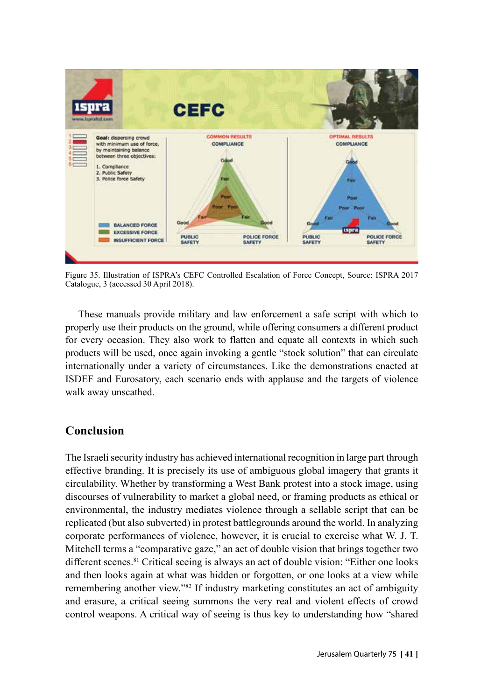

Figure 35. Illustration of ISPRA's CEFC Controlled Escalation of Force Concept, Source: ISPRA 2017 Catalogue, 3 (accessed 30 April 2018).

These manuals provide military and law enforcement a safe script with which to properly use their products on the ground, while offering consumers a different product for every occasion. They also work to flatten and equate all contexts in which such products will be used, once again invoking a gentle "stock solution" that can circulate internationally under a variety of circumstances. Like the demonstrations enacted at ISDEF and Eurosatory, each scenario ends with applause and the targets of violence walk away unscathed.

## **Conclusion**

The Israeli security industry has achieved international recognition in large part through effective branding. It is precisely its use of ambiguous global imagery that grants it circulability. Whether by transforming a West Bank protest into a stock image, using discourses of vulnerability to market a global need, or framing products as ethical or environmental, the industry mediates violence through a sellable script that can be replicated (but also subverted) in protest battlegrounds around the world. In analyzing corporate performances of violence, however, it is crucial to exercise what W. J. T. Mitchell terms a "comparative gaze," an act of double vision that brings together two different scenes.81 Critical seeing is always an act of double vision: "Either one looks and then looks again at what was hidden or forgotten, or one looks at a view while remembering another view."82 If industry marketing constitutes an act of ambiguity and erasure, a critical seeing summons the very real and violent effects of crowd control weapons. A critical way of seeing is thus key to understanding how "shared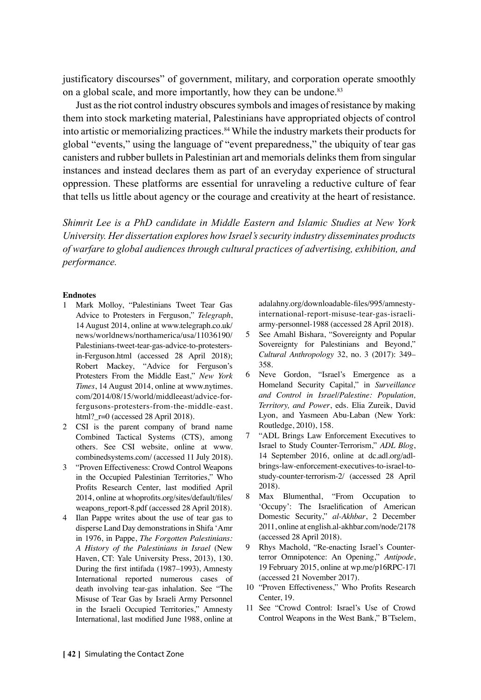justificatory discourses" of government, military, and corporation operate smoothly on a global scale, and more importantly, how they can be undone.<sup>83</sup>

Just as the riot control industry obscures symbols and images of resistance by making them into stock marketing material, Palestinians have appropriated objects of control into artistic or memorializing practices.<sup>84</sup> While the industry markets their products for global "events," using the language of "event preparedness," the ubiquity of tear gas canisters and rubber bullets in Palestinian art and memorials delinks them from singular instances and instead declares them as part of an everyday experience of structural oppression. These platforms are essential for unraveling a reductive culture of fear that tells us little about agency or the courage and creativity at the heart of resistance.

*Shimrit Lee is a PhD candidate in Middle Eastern and Islamic Studies at New York University. Her dissertation explores how Israel's security industry disseminates products of warfare to global audiences through cultural practices of advertising, exhibition, and performance.*

#### **Endnotes**

- 1 Mark Molloy, "Palestinians Tweet Tear Gas Advice to Protesters in Ferguson," *Telegraph*, 14 August 2014, online at www.telegraph.co.uk/ news/worldnews/northamerica/usa/11036190/ Palestinians-tweet-tear-gas-advice-to-protestersin-Ferguson.html (accessed 28 April 2018); Robert Mackey, "Advice for Ferguson's Protesters From the Middle East," *New York Times*, 14 August 2014, online at www.nytimes. com/2014/08/15/world/middleeast/advice-forfergusons-protesters-from-the-middle-east. html?  $r=0$  (accessed 28 April 2018).
- 2 CSI is the parent company of brand name Combined Tactical Systems (CTS), among others. See CSI website, online at www. combinedsystems.com/ (accessed 11 July 2018).
- 3 "Proven Effectiveness: Crowd Control Weapons in the Occupied Palestinian Territories," Who Profits Research Center, last modified April 2014, online at whoprofits.org/sites/default/files/ weapons\_report-8.pdf (accessed 28 April 2018).
- 4 Ilan Pappe writes about the use of tear gas to disperse Land Day demonstrations in Shifa 'Amr in 1976, in Pappe, *The Forgotten Palestinians: A History of the Palestinians in Israel* (New Haven, CT: Yale University Press, 2013), 130. During the first intifada (1987–1993), Amnesty International reported numerous cases of death involving tear-gas inhalation. See "The Misuse of Tear Gas by Israeli Army Personnel in the Israeli Occupied Territories," Amnesty International, last modified June 1988, online at

adalahny.org/downloadable-files/995/amnestyinternational-report-misuse-tear-gas-israeliarmy-personnel-1988 (accessed 28 April 2018).

- 5 See Amahl Bishara, "Sovereignty and Popular Sovereignty for Palestinians and Beyond," *Cultural Anthropology* 32, no. 3 (2017): 349– 358.
- 6 Neve Gordon, "Israel's Emergence as a Homeland Security Capital," in *Surveillance and Control in Israel/Palestine: Population, Territory, and Power*, eds. Elia Zureik, David Lyon, and Yasmeen Abu-Laban (New York: Routledge, 2010), 158.
- 7 "ADL Brings Law Enforcement Executives to Israel to Study Counter-Terrorism," *ADL Blog*, 14 September 2016, online at dc.adl.org/adlbrings-law-enforcement-executives-to-israel-tostudy-counter-terrorism-2/ (accessed 28 April 2018).
- 8 Max Blumenthal, "From Occupation to 'Occupy': The Israelification of American Domestic Security," *al-Akhbar*, 2 December 2011, online at english.al-akhbar.com/node/2178 (accessed 28 April 2018).
- 9 Rhys Machold, "Re-enacting Israel's Counterterror Omnipotence: An Opening," *Antipode*, 19 February 2015, online at wp.me/p16RPC-17l (accessed 21 November 2017).
- 10 "Proven Effectiveness," Who Profits Research Center, 19.
- 11 See "Crowd Control: Israel's Use of Crowd Control Weapons in the West Bank," B'Tselem,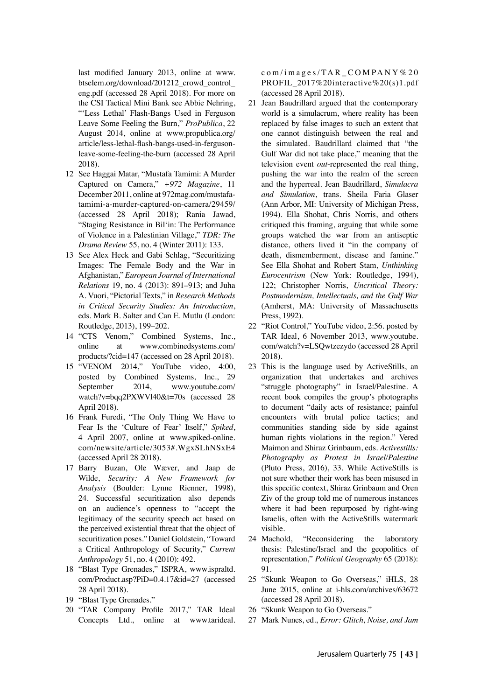last modified January 2013, online at www. btselem.org/download/201212\_crowd\_control\_ eng.pdf (accessed 28 April 2018). For more on the CSI Tactical Mini Bank see Abbie Nehring, "'Less Lethal' Flash-Bangs Used in Ferguson Leave Some Feeling the Burn," *ProPublica*, 22 August 2014, online at www.propublica.org/ article/less-lethal-flash-bangs-used-in-fergusonleave-some-feeling-the-burn (accessed 28 April 2018).

- 12 See Haggai Matar, "Mustafa Tamimi: A Murder Captured on Camera," *+972 Magazine*, 11 December 2011, online at 972mag.com/mustafatamimi-a-murder-captured-on-camera/29459/ (accessed 28 April 2018); Rania Jawad, "Staging Resistance in Bil'in: The Performance of Violence in a Palestinian Village," *TDR: The Drama Review* 55, no. 4 (Winter 2011): 133.
- 13 See Alex Heck and Gabi Schlag, "Securitizing Images: The Female Body and the War in Afghanistan," *European Journal of International Relations* 19, no. 4 (2013): 891–913; and Juha A. Vuori, "Pictorial Texts," in *Research Methods in Critical Security Studies: An Introduction*, eds. Mark B. Salter and Can E. Mutlu (London: Routledge, 2013), 199–202.
- 14 "CTS Venom," Combined Systems, Inc., online at www.combinedsystems.com/ products/?cid=147 (accessed on 28 April 2018).
- 15 "VENOM 2014," YouTube video, 4:00, posted by Combined Systems, Inc*.*, 29 September 2014, www.youtube.com/ watch?v=bqq2PXWVl40&t=70s (accessed 28 April 2018).
- 16 Frank Furedi, "The Only Thing We Have to Fear Is the 'Culture of Fear' Itself," *Spiked*, 4 April 2007, online at www.spiked-online. com/newsite/article/3053#.WgxSLhNSxE4 (accessed April 28 2018).
- 17 Barry Buzan, Ole Wæver, and Jaap de Wilde, *Security: A New Framework for Analysis* (Boulder: Lynne Rienner, 1998), 24. Successful securitization also depends on an audience's openness to "accept the legitimacy of the security speech act based on the perceived existential threat that the object of securitization poses."Daniel Goldstein, "Toward a Critical Anthropology of Security," *Current Anthropology* 51, no. 4 (2010): 492.
- 18 "Blast Type Grenades," ISPRA, www.ispraltd. com/Product.asp?PiD=0.4.17&id=27 (accessed 28 April 2018).
- 19 "Blast Type Grenades."
- 20 "TAR Company Profile 2017," TAR Ideal Concepts Ltd., online at www.tarideal.

com/images/TAR\_COMPANY% 2 0 PROFIL\_2017%20interactive%20(s)1.pdf (accessed 28 April 2018).

- 21 Jean Baudrillard argued that the contemporary world is a simulacrum, where reality has been replaced by false images to such an extent that one cannot distinguish between the real and the simulated. Baudrillard claimed that "the Gulf War did not take place," meaning that the television event *out*-represented the real thing, pushing the war into the realm of the screen and the hyperreal. Jean Baudrillard, *Simulacra and Simulation*, trans. Sheila Faria Glaser (Ann Arbor, MI: University of Michigan Press, 1994). Ella Shohat, Chris Norris, and others critiqued this framing, arguing that while some groups watched the war from an antiseptic distance, others lived it "in the company of death, dismemberment, disease and famine." See Ella Shohat and Robert Stam, *Unthinking Eurocentrism* (New York: Routledge, 1994), 122; Christopher Norris, *Uncritical Theory: Postmodernism, Intellectuals, and the Gulf War* (Amherst, MA: University of Massachusetts Press, 1992).
- 22 "Riot Control," YouTube video, 2:56. posted by TAR Ideal, 6 November 2013, www.youtube. com/watch?v=LSQwtzezydo (accessed 28 April 2018).
- 23 This is the language used by ActiveStills, an organization that undertakes and archives "struggle photography" in Israel/Palestine. A recent book compiles the group's photographs to document "daily acts of resistance; painful encounters with brutal police tactics; and communities standing side by side against human rights violations in the region." Vered Maimon and Shiraz Grinbaum, eds. *Activestills: Photography as Protest in Israel/Palestine* (Pluto Press, 2016), 33. While ActiveStills is not sure whether their work has been misused in this specific context, Shiraz Grinbaum and Oren Ziv of the group told me of numerous instances where it had been repurposed by right-wing Israelis, often with the ActiveStills watermark visible.
- 24 Machold, "Reconsidering the laboratory thesis: Palestine/Israel and the geopolitics of representation," *Political Geography* 65 (2018): 91.
- 25 "Skunk Weapon to Go Overseas," iHLS, 28 June 2015, online at i-hls.com/archives/63672 (accessed 28 April 2018).
- 26 "Skunk Weapon to Go Overseas."
- 27 Mark Nunes, ed., *Error: Glitch, Noise, and Jam*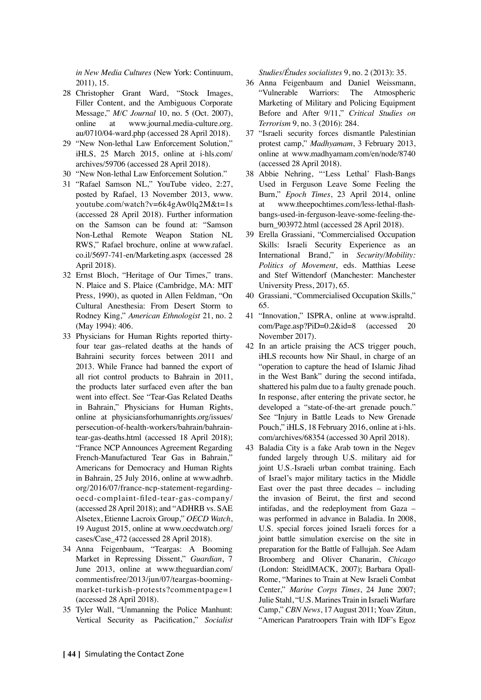*in New Media Cultures* (New York: Continuum, 2011), 15.

- 28 Christopher Grant Ward, "Stock Images, Filler Content, and the Ambiguous Corporate Message," *M/C Journal* 10, no. 5 (Oct. 2007), online at www.journal.media-culture.org. au/0710/04-ward.php (accessed 28 April 2018).
- 29 "New Non-lethal Law Enforcement Solution," iHLS, 25 March 2015, online at i-hls.com/ archives/59706 (accessed 28 April 2018).
- 30 "New Non-lethal Law Enforcement Solution."
- 31 "Rafael Samson NL," YouTube video, 2:27, posted by Rafael, 13 November 2013, www. youtube.com/watch?v=6k4gAw0lq2M&t=1s (accessed 28 April 2018). Further information on the Samson can be found at: "Samson Non-Lethal Remote Weapon Station NL RWS," Rafael brochure, online at www.rafael. co.il/5697-741-en/Marketing.aspx (accessed 28 April 2018).
- 32 Ernst Bloch, "Heritage of Our Times," trans. N. Plaice and S. Plaice (Cambridge, MA: MIT Press, 1990), as quoted in Allen Feldman, "On Cultural Anesthesia: From Desert Storm to Rodney King," *American Ethnologist* 21, no. 2 (May 1994): 406.
- 33 Physicians for Human Rights reported thirtyfour tear gas–related deaths at the hands of Bahraini security forces between 2011 and 2013. While France had banned the export of all riot control products to Bahrain in 2011, the products later surfaced even after the ban went into effect. See "Tear-Gas Related Deaths in Bahrain," Physicians for Human Rights, online at physiciansforhumanrights.org/issues/ persecution-of-health-workers/bahrain/bahraintear-gas-deaths.html (accessed 18 April 2018); "France NCP Announces Agreement Regarding French-Manufactured Tear Gas in Bahrain," Americans for Democracy and Human Rights in Bahrain, 25 July 2016, online at www.adhrb. org/2016/07/france-ncp-statement-regardingoecd-complaint-filed-tear-gas-company/ (accessed 28 April 2018); and "ADHRB vs. SAE Alsetex, Etienne Lacroix Group," *OECD Watch*, 19 August 2015, online at www.oecdwatch.org/ cases/Case\_472 (accessed 28 April 2018).
- 34 Anna Feigenbaum, "Teargas: A Booming Market in Repressing Dissent," *Guardian*, 7 June 2013, online at www.theguardian.com/ commentisfree/2013/jun/07/teargas-boomingmarket-turkish-protests?commentpage=1 (accessed 28 April 2018).
- 35 Tyler Wall, "Unmanning the Police Manhunt: Vertical Security as Pacification," *Socialist*

*Studies/Études socialistes* 9, no. 2 (2013): 35.

- 36 Anna Feigenbaum and Daniel Weissmann, "Vulnerable Warriors: The Atmospheric Marketing of Military and Policing Equipment Before and After 9/11," *Critical Studies on Terrorism* 9, no. 3 (2016): 284.
- 37 "Israeli security forces dismantle Palestinian protest camp," *Madhyamam*, 3 February 2013, online at www.madhyamam.com/en/node/8740 (accessed 28 April 2018).
- 38 Abbie Nehring, "'Less Lethal' Flash-Bangs Used in Ferguson Leave Some Feeling the Burn," *Epoch Times*, 23 April 2014, online at www.theepochtimes.com/less-lethal-flashbangs-used-in-ferguson-leave-some-feeling-theburn\_903972.html (accessed 28 April 2018).
- 39 Erella Grassiani, "Commercialised Occupation Skills: Israeli Security Experience as an International Brand," in *Security/Mobility: Politics of Movement*, eds. Matthias Leese and Stef Wittendorf (Manchester: Manchester University Press, 2017), 65.
- 40 Grassiani, "Commercialised Occupation Skills," 65.
- 41 "Innovation," ISPRA, online at www.ispraltd. com/Page.asp?PiD=0.2&id=8 (accessed 20 November 2017).
- 42 In an article praising the ACS trigger pouch, iHLS recounts how Nir Shaul, in charge of an "operation to capture the head of Islamic Jihad in the West Bank" during the second intifada, shattered his palm due to a faulty grenade pouch. In response, after entering the private sector, he developed a "state-of-the-art grenade pouch." See "Injury in Battle Leads to New Grenade Pouch," iHLS, 18 February 2016, online at i-hls. com/archives/68354 (accessed 30 April 2018).
- 43 Baladia City is a fake Arab town in the Negev funded largely through U.S. military aid for joint U.S.-Israeli urban combat training. Each of Israel's major military tactics in the Middle East over the past three decades – including the invasion of Beirut, the first and second intifadas, and the redeployment from Gaza – was performed in advance in Baladia. In 2008, U.S. special forces joined Israeli forces for a joint battle simulation exercise on the site in preparation for the Battle of Fallujah. See Adam Broomberg and Oliver Chanarin, *Chicago*  (London: SteidlMACK, 2007); Barbara Opall-Rome, "Marines to Train at New Israeli Combat Center," *Marine Corps Times*, 24 June 2007; Julie Stahl, "U.S. Marines Train in Israeli Warfare Camp," *CBN News*, 17 August 2011; Yoav Zitun, "American Paratroopers Train with IDF's Egoz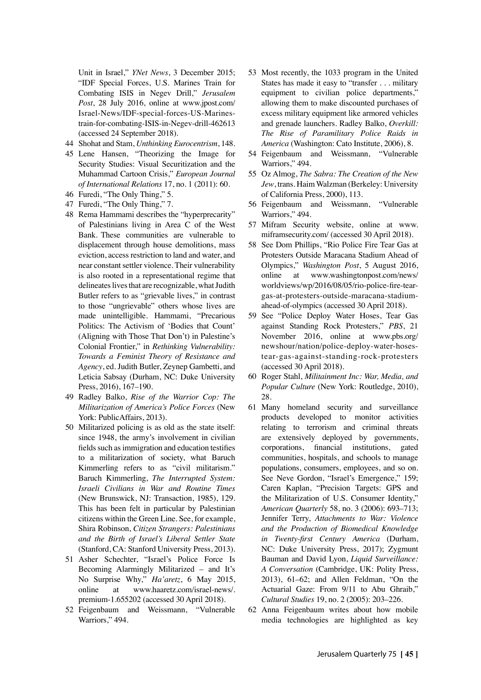Unit in Israel," *YNet News*, 3 December 2015; "IDF Special Forces, U.S. Marines Train for Combating ISIS in Negev Drill," *Jerusalem Post*, 28 July 2016, online at www.jpost.com/ Israel-News/IDF-special-forces-US-Marinestrain-for-combating-ISIS-in-Negev-drill-462613 (accessed 24 September 2018).

- 44 Shohat and Stam, *Unthinking Eurocentrism*, 148.
- 45 Lene Hansen, "Theorizing the Image for Security Studies: Visual Securitization and the Muhammad Cartoon Crisis," *European Journal of International Relations* 17, no. 1 (2011): 60.
- 46 Furedi, "The Only Thing," 5.
- 47 Furedi, "The Only Thing," 7.
- 48 Rema Hammami describes the "hyperprecarity" of Palestinians living in Area C of the West Bank. These communities are vulnerable to displacement through house demolitions, mass eviction, access restriction to land and water, and near constant settler violence. Their vulnerability is also rooted in a representational regime that delineates lives that are recognizable, what Judith Butler refers to as "grievable lives," in contrast to those "ungrievable" others whose lives are made unintelligible. Hammami, "Precarious Politics: The Activism of 'Bodies that Count' (Aligning with Those That Don't) in Palestine's Colonial Frontier," in *Rethinking Vulnerability: Towards a Feminist Theory of Resistance and Agency*, ed. Judith Butler, Zeynep Gambetti, and Leticia Sabsay (Durham, NC: Duke University Press, 2016), 167–190.
- 49 Radley Balko, *Rise of the Warrior Cop: The Militarization of America's Police Forces* (New York: PublicAffairs, 2013).
- 50 Militarized policing is as old as the state itself: since 1948, the army's involvement in civilian fields such as immigration and education testifies to a militarization of society, what Baruch Kimmerling refers to as "civil militarism." Baruch Kimmerling, *The Interrupted System: Israeli Civilians in War and Routine Times* (New Brunswick, NJ: Transaction, 1985), 129. This has been felt in particular by Palestinian citizens within the Green Line. See, for example, Shira Robinson, *Citizen Strangers: Palestinians and the Birth of Israel's Liberal Settler State* (Stanford, CA: Stanford University Press, 2013).
- 51 Asher Schechter, "Israel's Police Force Is Becoming Alarmingly Militarized – and It's No Surprise Why," *Ha'aretz*, 6 May 2015, online at www.haaretz.com/israel-news/. premium-1.655202 (accessed 30 April 2018).
- 52 Feigenbaum and Weissmann, "Vulnerable Warriors," 494.
- 53 Most recently, the 1033 program in the United States has made it easy to "transfer . . . military equipment to civilian police departments,' allowing them to make discounted purchases of excess military equipment like armored vehicles and grenade launchers. Radley Balko, *Overkill: The Rise of Paramilitary Police Raids in America* (Washington: Cato Institute, 2006), 8.
- 54 Feigenbaum and Weissmann, "Vulnerable Warriors," 494.
- 55 Oz Almog, *The Sabra: The Creation of the New Jew*, trans. Haim Walzman (Berkeley: University of California Press, 2000), 113.
- 56 Feigenbaum and Weissmann, "Vulnerable Warriors," 494.
- 57 Mifram Security website, online at www. miframsecurity.com/ (accessed 30 April 2018).
- 58 See Dom Phillips, "Rio Police Fire Tear Gas at Protesters Outside Maracana Stadium Ahead of Olympics," *Washington Post*, 5 August 2016, online at www.washingtonpost.com/news/ worldviews/wp/2016/08/05/rio-police-fire-teargas-at-protesters-outside-maracana-stadiumahead-of-olympics (accessed 30 April 2018).
- 59 See "Police Deploy Water Hoses, Tear Gas against Standing Rock Protesters," *PBS*, 21 November 2016, online at www.pbs.org/ newshour/nation/police-deploy-water-hosestear-gas-against-standing-rock-protesters (accessed 30 April 2018).
- 60 Roger Stahl, *Militainment Inc: War, Media, and Popular Culture* (New York: Routledge, 2010), 28.
- 61 Many homeland security and surveillance products developed to monitor activities relating to terrorism and criminal threats are extensively deployed by governments, corporations, financial institutions, gated communities, hospitals, and schools to manage populations, consumers, employees, and so on. See Neve Gordon, "Israel's Emergence," 159; Caren Kaplan, "Precision Targets: GPS and the Militarization of U.S. Consumer Identity," *American Quarterly* 58, no. 3 (2006): 693–713; Jennifer Terry, *Attachments to War: Violence and the Production of Biomedical Knowledge in Twenty-first Century America* (Durham, NC: Duke University Press, 2017); Zygmunt Bauman and David Lyon, *Liquid Surveillance: A Conversation* (Cambridge, UK: Polity Press, 2013), 61–62; and Allen Feldman, "On the Actuarial Gaze: From 9/11 to Abu Ghraib," *Cultural Studies* 19, no. 2 (2005): 203–226.
- 62 Anna Feigenbaum writes about how mobile media technologies are highlighted as key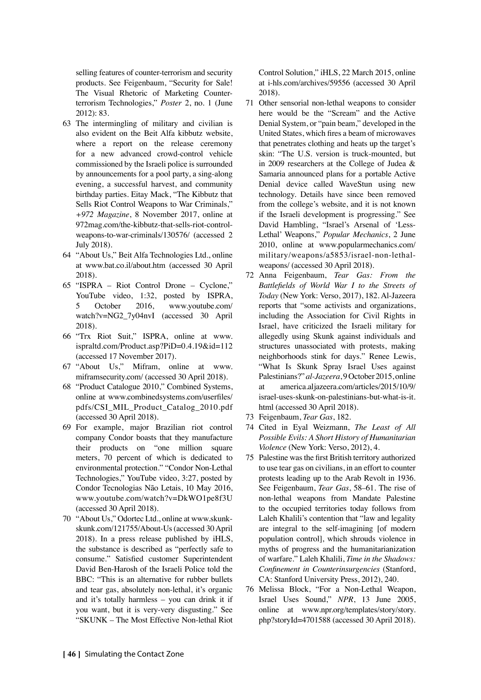selling features of counter-terrorism and security products. See Feigenbaum, "Security for Sale! The Visual Rhetoric of Marketing Counterterrorism Technologies," *Poster* 2, no. 1 (June 2012): 83.

- 63 The intermingling of military and civilian is also evident on the Beit Alfa kibbutz website, where a report on the release ceremony for a new advanced crowd-control vehicle commissioned by the Israeli police is surrounded by announcements for a pool party, a sing-along evening, a successful harvest, and community birthday parties. Eitay Mack, "The Kibbutz that Sells Riot Control Weapons to War Criminals," *+972 Magazine*, 8 November 2017, online at 972mag.com/the-kibbutz-that-sells-riot-controlweapons-to-war-criminals/130576/ (accessed 2 July 2018).
- 64 "About Us," Beit Alfa Technologies Ltd., online at www.bat.co.il/about.htm (accessed 30 April 2018).
- 65 "ISPRA Riot Control Drone Cyclone," YouTube video, 1:32, posted by ISPRA, October 2016, www.youtube.com/ watch?v=NG2\_7y04nvI (accessed 30 April 2018).
- 66 "Trx Riot Suit," ISPRA, online at www. ispraltd.com/Product.asp?PiD=0.4.19&id=112 (accessed 17 November 2017).
- 67 "About Us," Mifram, online at www. miframsecurity.com/ (accessed 30 April 2018).
- 68 "Product Catalogue 2010," Combined Systems, online at www.combinedsystems.com/userfiles/ pdfs/CSI\_MIL\_Product\_Catalog\_2010.pdf (accessed 30 April 2018).
- 69 For example, major Brazilian riot control company Condor boasts that they manufacture their products on "one million square meters, 70 percent of which is dedicated to environmental protection." "Condor Non-Lethal Technologies," YouTube video, 3:27, posted by Condor Tecnologias Não Letais, 10 May 2016, www.youtube.com/watch?v=DkWO1pe8f3U (accessed 30 April 2018).
- 70 "About Us," Odortec Ltd., online at www.skunkskunk.com/121755/About-Us (accessed 30 April 2018). In a press release published by iHLS, the substance is described as "perfectly safe to consume." Satisfied customer Superintendent David Ben-Harosh of the Israeli Police told the BBC: "This is an alternative for rubber bullets and tear gas, absolutely non-lethal, it's organic and it's totally harmless – you can drink it if you want, but it is very-very disgusting." See "SKUNK – The Most Effective Non-lethal Riot

Control Solution," iHLS, 22 March 2015, online at i-hls.com/archives/59556 (accessed 30 April 2018).

- 71 Other sensorial non-lethal weapons to consider here would be the "Scream" and the Active Denial System, or "pain beam," developed in the United States, which fires a beam of microwaves that penetrates clothing and heats up the target's skin: "The U.S. version is truck-mounted, but in 2009 researchers at the College of Judea & Samaria announced plans for a portable Active Denial device called WaveStun using new technology. Details have since been removed from the college's website, and it is not known if the Israeli development is progressing." See David Hambling, "Israel's Arsenal of 'Less-Lethal' Weapons," *Popular Mechanics*, 2 June 2010, online at www.popularmechanics.com/ military/weapons/a5853/israel-non-lethalweapons/ (accessed 30 April 2018).
- 72 Anna Feigenbaum, *Tear Gas: From the Battlefields of World War I to the Streets of Today* (New York: Verso, 2017), 182. Al-Jazeera reports that "some activists and organizations, including the Association for Civil Rights in Israel, have criticized the Israeli military for allegedly using Skunk against individuals and structures unassociated with protests, making neighborhoods stink for days." Renee Lewis, "What Is Skunk Spray Israel Uses against Palestinians?" *al-Jazeera*, 9 October 2015, online at america.aljazeera.com/articles/2015/10/9/ israel-uses-skunk-on-palestinians-but-what-is-it. html (accessed 30 April 2018).
- 73 Feigenbaum, *Tear Gas*, 182.
- 74 Cited in Eyal Weizmann, *The Least of All Possible Evils: A Short History of Humanitarian Violence* (New York: Verso, 2012), 4.
- 75 Palestine was the first British territory authorized to use tear gas on civilians, in an effort to counter protests leading up to the Arab Revolt in 1936. See Feigenbaum, *Tear Gas*, 58–61. The rise of non-lethal weapons from Mandate Palestine to the occupied territories today follows from Laleh Khalili's contention that "law and legality are integral to the self-imagining [of modern population control], which shrouds violence in myths of progress and the humanitarianization of warfare." Laleh Khalili, *Time in the Shadows: Confinement in Counterinsurgencies* (Stanford, CA: Stanford University Press, 2012), 240.
- 76 Melissa Block, "For a Non-Lethal Weapon, Israel Uses Sound," *NPR*, 13 June 2005, online at www.npr.org/templates/story/story. php?storyId=4701588 (accessed 30 April 2018).